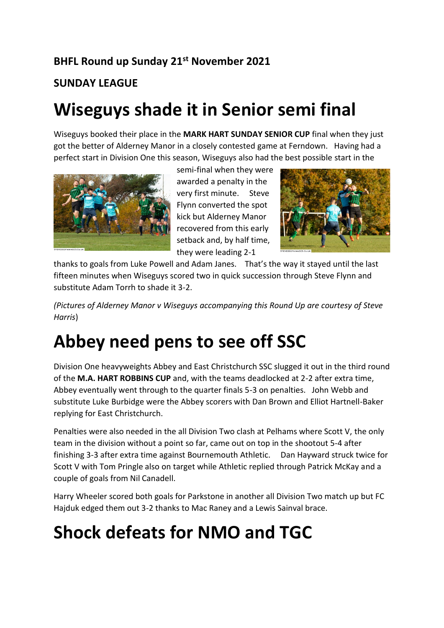#### **BHFL Round up Sunday 21st November 2021**

#### **SUNDAY LEAGUE**

#### **Wiseguys shade it in Senior semi final**

Wiseguys booked their place in the **MARK HART SUNDAY SENIOR CUP** final when they just got the better of Alderney Manor in a closely contested game at Ferndown. Having had a perfect start in Division One this season, Wiseguys also had the best possible start in the



semi-final when they were awarded a penalty in the very first minute. Steve Flynn converted the spot kick but Alderney Manor recovered from this early setback and, by half time, they were leading 2-1



thanks to goals from Luke Powell and Adam Janes. That's the way it stayed until the last fifteen minutes when Wiseguys scored two in quick succession through Steve Flynn and substitute Adam Torrh to shade it 3-2.

*(Pictures of Alderney Manor v Wiseguys accompanying this Round Up are courtesy of Steve Harris*)

#### **Abbey need pens to see off SSC**

Division One heavyweights Abbey and East Christchurch SSC slugged it out in the third round of the **M.A. HART ROBBINS CUP** and, with the teams deadlocked at 2-2 after extra time, Abbey eventually went through to the quarter finals 5-3 on penalties. John Webb and substitute Luke Burbidge were the Abbey scorers with Dan Brown and Elliot Hartnell-Baker replying for East Christchurch.

Penalties were also needed in the all Division Two clash at Pelhams where Scott V, the only team in the division without a point so far, came out on top in the shootout 5-4 after finishing 3-3 after extra time against Bournemouth Athletic. Dan Hayward struck twice for Scott V with Tom Pringle also on target while Athletic replied through Patrick McKay and a couple of goals from Nil Canadell.

Harry Wheeler scored both goals for Parkstone in another all Division Two match up but FC Hajduk edged them out 3-2 thanks to Mac Raney and a Lewis Sainval brace.

## **Shock defeats for NMO and TGC**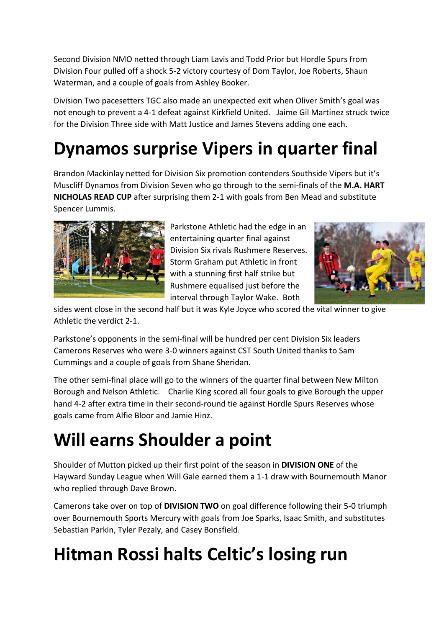Second Division NMO netted through Liam Lavis and Todd Prior but Hordle Spurs from Division Four pulled off a shock 5-2 victory courtesy of Dom Taylor, Joe Roberts, Shaun Waterman, and a couple of goals from Ashley Booker.

Division Two pacesetters TGC also made an unexpected exit when Oliver Smith's goal was not enough to prevent a 4-1 defeat against Kirkfield United. Jaime Gil Martinez struck twice for the Division Three side with Matt Justice and James Stevens adding one each.

## **Dynamos surprise Vipers in quarter final**

Brandon Mackinlay netted for Division Six promotion contenders Southside Vipers but it's Muscliff Dynamos from Division Seven who go through to the semi-finals of the **M.A. HART NICHOLAS READ CUP** after surprising them 2-1 with goals from Ben Mead and substitute Spencer Lummis.



Parkstone Athletic had the edge in an entertaining quarter final against Division Six rivals Rushmere Reserves. Storm Graham put Athletic in front with a stunning first half strike but Rushmere equalised just before the interval through Taylor Wake. Both



sides went close in the second half but it was Kyle Joyce who scored the vital winner to give Athletic the verdict 2-1.

Parkstone's opponents in the semi-final will be hundred per cent Division Six leaders Camerons Reserves who were 3-0 winners against CST South United thanks to Sam Cummings and a couple of goals from Shane Sheridan.

The other semi-final place will go to the winners of the quarter final between New Milton Borough and Nelson Athletic. Charlie King scored all four goals to give Borough the upper hand 4-2 after extra time in their second-round tie against Hordle Spurs Reserves whose goals came from Alfie Bloor and Jamie Hinz.

## **Will earns Shoulder a point**

Shoulder of Mutton picked up their first point of the season in **DIVISION ONE** of the Hayward Sunday League when Will Gale earned them a 1-1 draw with Bournemouth Manor who replied through Dave Brown.

Camerons take over on top of **DIVISION TWO** on goal difference following their 5-0 triumph over Bournemouth Sports Mercury with goals from Joe Sparks, Isaac Smith, and substitutes Sebastian Parkin, Tyler Pezaly, and Casey Bonsfield.

## **Hitman Rossi halts Celtic's losing run**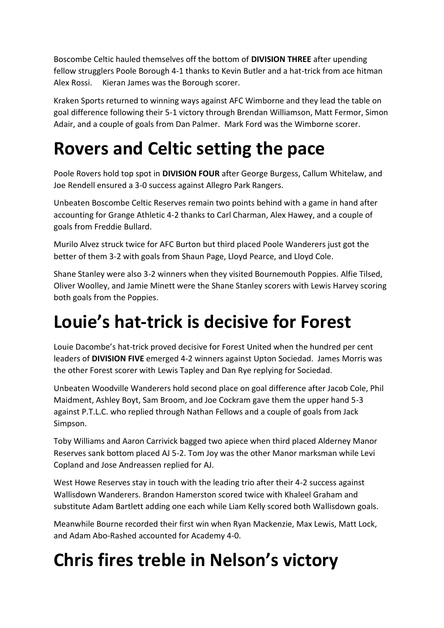Boscombe Celtic hauled themselves off the bottom of **DIVISION THREE** after upending fellow strugglers Poole Borough 4-1 thanks to Kevin Butler and a hat-trick from ace hitman Alex Rossi. Kieran James was the Borough scorer.

Kraken Sports returned to winning ways against AFC Wimborne and they lead the table on goal difference following their 5-1 victory through Brendan Williamson, Matt Fermor, Simon Adair, and a couple of goals from Dan Palmer. Mark Ford was the Wimborne scorer.

#### **Rovers and Celtic setting the pace**

Poole Rovers hold top spot in **DIVISION FOUR** after George Burgess, Callum Whitelaw, and Joe Rendell ensured a 3-0 success against Allegro Park Rangers.

Unbeaten Boscombe Celtic Reserves remain two points behind with a game in hand after accounting for Grange Athletic 4-2 thanks to Carl Charman, Alex Hawey, and a couple of goals from Freddie Bullard.

Murilo Alvez struck twice for AFC Burton but third placed Poole Wanderers just got the better of them 3-2 with goals from Shaun Page, Lloyd Pearce, and Lloyd Cole.

Shane Stanley were also 3-2 winners when they visited Bournemouth Poppies. Alfie Tilsed, Oliver Woolley, and Jamie Minett were the Shane Stanley scorers with Lewis Harvey scoring both goals from the Poppies.

## **Louie's hat-trick is decisive for Forest**

Louie Dacombe's hat-trick proved decisive for Forest United when the hundred per cent leaders of **DIVISION FIVE** emerged 4-2 winners against Upton Sociedad. James Morris was the other Forest scorer with Lewis Tapley and Dan Rye replying for Sociedad.

Unbeaten Woodville Wanderers hold second place on goal difference after Jacob Cole, Phil Maidment, Ashley Boyt, Sam Broom, and Joe Cockram gave them the upper hand 5-3 against P.T.L.C. who replied through Nathan Fellows and a couple of goals from Jack Simpson.

Toby Williams and Aaron Carrivick bagged two apiece when third placed Alderney Manor Reserves sank bottom placed AJ 5-2. Tom Joy was the other Manor marksman while Levi Copland and Jose Andreassen replied for AJ.

West Howe Reserves stay in touch with the leading trio after their 4-2 success against Wallisdown Wanderers. Brandon Hamerston scored twice with Khaleel Graham and substitute Adam Bartlett adding one each while Liam Kelly scored both Wallisdown goals.

Meanwhile Bourne recorded their first win when Ryan Mackenzie, Max Lewis, Matt Lock, and Adam Abo-Rashed accounted for Academy 4-0.

# **Chris fires treble in Nelson's victory**